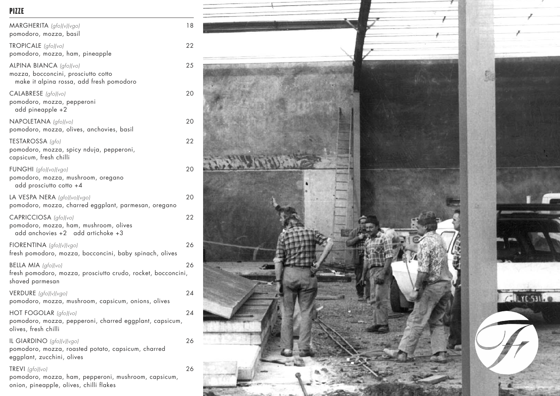## PIZZE

| MARGHERITA (gfo)(v)(vgo)<br>pomodoro, mozza, basil                                                                 | 18 |
|--------------------------------------------------------------------------------------------------------------------|----|
| TROPICALE (gfo)(vo)<br>pomodoro, mozza, ham, pineapple                                                             | 22 |
| ALPINA BIANCA (gfo)(vo)<br>mozza, bocconcini, prosciutto cotto<br>make it alpina rossa, add fresh pomodoro         | 25 |
| CALABRESE (gfo)(vo)<br>pomodoro, mozza, pepperoni<br>add pineapple +2                                              | 20 |
| NAPOLETANA (gfo)(vo)<br>pomodoro, mozza, olives, anchovies, basil                                                  | 20 |
| TESTAROSSA (gfo)<br>pomodoro, mozza, spicy nduja, pepperoni,<br>capsicum, fresh chilli                             | 22 |
| FUNGHI (gfo)(vo)(vgo)<br>pomodoro, mozza, mushroom, oregano<br>add prosciutto cotto +4                             | 20 |
| LA VESPA NERA (gfo)(vo)(vgo)<br>pomodoro, mozza, charred eggplant, parmesan, oregano                               | 20 |
| CAPRICCIOSA (gfo)(vo)<br>pomodoro, mozza, ham, mushroom, olives<br>add anchovies +2 add artichoke +3               | 22 |
| FIORENTINA (gfo)(v)(vgo)<br>fresh pomodoro, mozza, bocconcini, baby spinach, olives                                | 26 |
| <b>BELLA MIA</b> $ gfo /vo $<br>fresh pomodoro, mozza, prosciutto crudo, rocket, bocconcini,<br>shaved parmesan    | 26 |
| VERDURE (gfo)(v)(vgo)<br>pomodoro, mozza, mushroom, capsicum, onions, olives                                       | 24 |
| HOT FOGOLAR (gfo)(vo)<br>pomodoro, mozza, pepperoni, charred eggplant, capsicum,<br>olives, fresh chilli           | 24 |
| IL GIARDINO (gfo)(v)(vgo)<br>pomodoro, mozza, roasted potato, capsicum, charred<br>eggplant, zucchini, olives      | 26 |
| TREVI (gfo)(vo)<br>pomodoro, mozza, ham, pepperoni, mushroom, capsicum,<br>onion, pineapple, olives, chilli flakes | 26 |